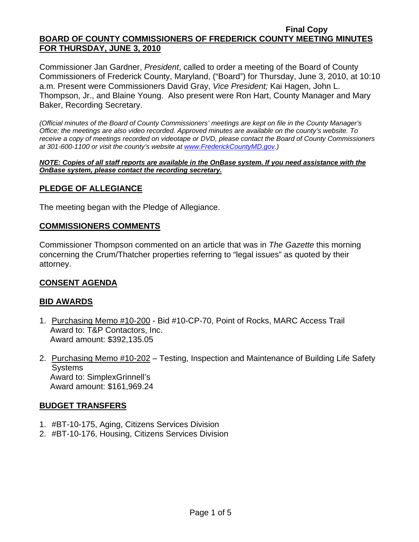Commissioner Jan Gardner, *President*, called to order a meeting of the Board of County Commissioners of Frederick County, Maryland, ("Board") for Thursday, June 3, 2010, at 10:10 a.m. Present were Commissioners David Gray, *Vice President;* Kai Hagen, John L. Thompson, Jr., and Blaine Young. Also present were Ron Hart, County Manager and Mary Baker, Recording Secretary.

*(Official minutes of the Board of County Commissioners' meetings are kept on file in the County Manager's Office; the meetings are also video recorded. Approved minutes are available on the county's website. To receive a copy of meetings recorded on videotape or DVD, please contact the Board of County Commissioners at 301-600-1100 or visit the county's website at [www.FrederickCountyMD.gov.](http://www.frederickcountymd.gov/))* 

*NOTE: Copies of all staff reports are available in the OnBase system. If you need assistance with the OnBase system, please contact the recording secretary.*

### **PLEDGE OF ALLEGIANCE**

The meeting began with the Pledge of Allegiance.

### **COMMISSIONERS COMMENTS**

Commissioner Thompson commented on an article that was in *The Gazette* this morning concerning the Crum/Thatcher properties referring to "legal issues" as quoted by their attorney.

### **CONSENT AGENDA**

### **BID AWARDS**

- 1. Purchasing Memo #10-200 Bid #10-CP-70, Point of Rocks, MARC Access Trail Award to: T&P Contactors, Inc. Award amount: \$392,135.05
- 2. Purchasing Memo #10-202 Testing, Inspection and Maintenance of Building Life Safety **Systems**  Award to: SimplexGrinnell's Award amount: \$161,969.24

### **BUDGET TRANSFERS**

- 1. #BT-10-175, Aging, Citizens Services Division
- 2. #BT-10-176, Housing, Citizens Services Division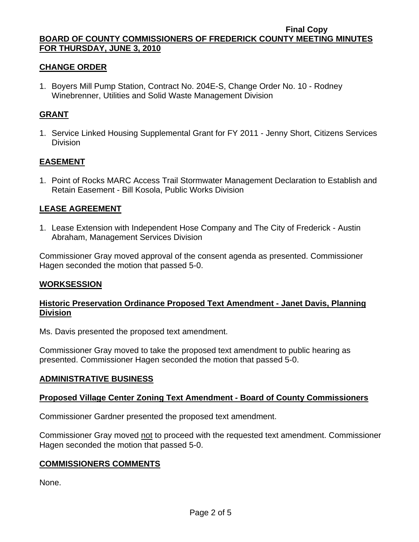## **CHANGE ORDER**

1. Boyers Mill Pump Station, Contract No. 204E-S, Change Order No. 10 - Rodney Winebrenner, Utilities and Solid Waste Management Division

### **GRANT**

1. Service Linked Housing Supplemental Grant for FY 2011 - Jenny Short, Citizens Services **Division** 

### **EASEMENT**

1. Point of Rocks MARC Access Trail Stormwater Management Declaration to Establish and Retain Easement - Bill Kosola, Public Works Division

### **LEASE AGREEMENT**

1. Lease Extension with Independent Hose Company and The City of Frederick - Austin Abraham, Management Services Division

Commissioner Gray moved approval of the consent agenda as presented. Commissioner Hagen seconded the motion that passed 5-0.

### **WORKSESSION**

## **Historic Preservation Ordinance Proposed Text Amendment - Janet Davis, Planning Division**

Ms. Davis presented the proposed text amendment.

Commissioner Gray moved to take the proposed text amendment to public hearing as presented. Commissioner Hagen seconded the motion that passed 5-0.

### **ADMINISTRATIVE BUSINESS**

## **Proposed Village Center Zoning Text Amendment - Board of County Commissioners**

Commissioner Gardner presented the proposed text amendment.

Commissioner Gray moved not to proceed with the requested text amendment. Commissioner Hagen seconded the motion that passed 5-0.

### **COMMISSIONERS COMMENTS**

None.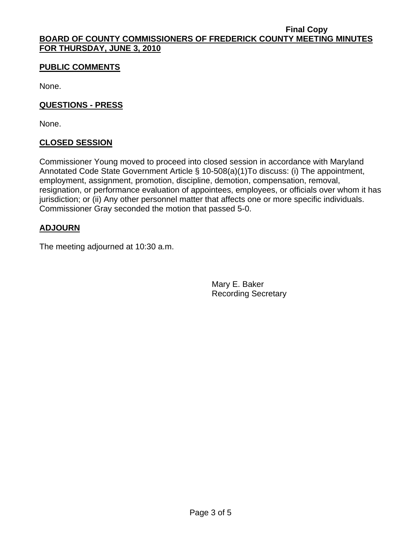## **PUBLIC COMMENTS**

None.

### **QUESTIONS - PRESS**

None.

## **CLOSED SESSION**

Commissioner Young moved to proceed into closed session in accordance with Maryland Annotated Code State Government Article § 10-508(a)(1)To discuss: (i) The appointment, employment, assignment, promotion, discipline, demotion, compensation, removal, resignation, or performance evaluation of appointees, employees, or officials over whom it has jurisdiction; or (ii) Any other personnel matter that affects one or more specific individuals. Commissioner Gray seconded the motion that passed 5-0.

## **ADJOURN**

The meeting adjourned at 10:30 a.m.

Mary E. Baker Recording Secretary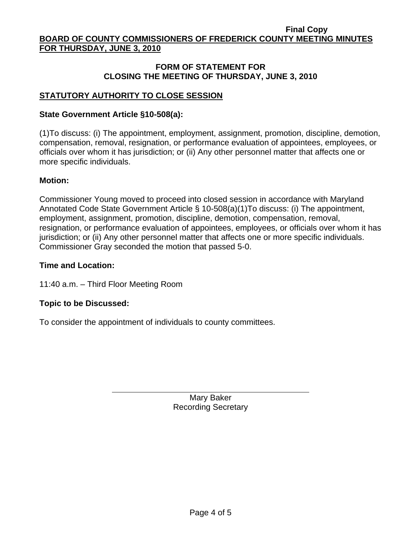## **FORM OF STATEMENT FOR CLOSING THE MEETING OF THURSDAY, JUNE 3, 2010**

# **STATUTORY AUTHORITY TO CLOSE SESSION**

## **State Government Article §10-508(a):**

(1)To discuss: (i) The appointment, employment, assignment, promotion, discipline, demotion, compensation, removal, resignation, or performance evaluation of appointees, employees, or officials over whom it has jurisdiction; or (ii) Any other personnel matter that affects one or more specific individuals.

## **Motion:**

Commissioner Young moved to proceed into closed session in accordance with Maryland Annotated Code State Government Article § 10-508(a)(1)To discuss: (i) The appointment, employment, assignment, promotion, discipline, demotion, compensation, removal, resignation, or performance evaluation of appointees, employees, or officials over whom it has jurisdiction; or (ii) Any other personnel matter that affects one or more specific individuals. Commissioner Gray seconded the motion that passed 5-0.

## **Time and Location:**

11:40 a.m. – Third Floor Meeting Room

 $\overline{a}$ 

## **Topic to be Discussed:**

To consider the appointment of individuals to county committees.

Mary Baker Recording Secretary